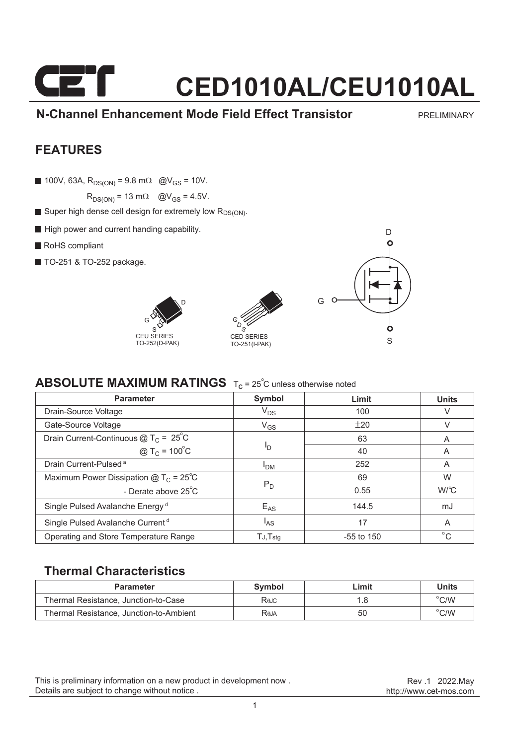#### **N-Channel Enhancement Mode Field Effect Transistor**

PRELIMINARY

#### **FEATURES**

100V, 63A,  $R_{DS(ON)} = 9.8$  m $\Omega$  @V<sub>GS</sub> = 10V.

 $R_{DS(ON)} = 13$  m $\Omega$  @V<sub>GS</sub> = 4.5V.

- Super high dense cell design for extremely low  $R_{DS(ON)}$ .
- High power and current handing capability.
- RoHS compliant
- **TO-251 & TO-252 package.**







#### **ABSOLUTE MAXIMUM RATINGS** T<sub>c</sub> = 25<sup>°</sup>C unless otherwise noted

| <b>Parameter</b>                             | Symbol                | Limit        | <b>Units</b> |
|----------------------------------------------|-----------------------|--------------|--------------|
| Drain-Source Voltage                         | $\rm V_{DS}$          | 100          | V            |
| Gate-Source Voltage                          | $V_{GS}$              | ±20          | V            |
| Drain Current-Continuous $@TC = 25°C$        |                       | 63           | A            |
| @ T <sub>C</sub> = $100^{\circ}$ C           | םי                    | 40           | A            |
| Drain Current-Pulsed <sup>a</sup>            | <b>I<sub>DM</sub></b> | 252          | A            |
| Maximum Power Dissipation $@TC = 25°C$       | $P_D$                 | 69           | W            |
| - Derate above 25°C                          |                       | 0.55         | $W^{\circ}C$ |
| Single Pulsed Avalanche Energy <sup>d</sup>  | $E_{AS}$              | 144.5        | mJ           |
| Single Pulsed Avalanche Current <sup>d</sup> | <sup>I</sup> AS       | 17           | A            |
| Operating and Store Temperature Range        | $TJ$ , $Tstq$         | $-55$ to 150 | $^{\circ}$ C |

#### **Thermal Characteristics**

| <b>Parameter</b>                        | Symbol      | Limit | Units          |
|-----------------------------------------|-------------|-------|----------------|
| Thermal Resistance, Junction-to-Case    | Rejc        |       | $^{\circ}$ C/W |
| Thermal Resistance, Junction-to-Ambient | <b>Reja</b> | 50    | $^{\circ}$ C/W |

This is preliminary information on a new product in development now . Details are subject to change without notice .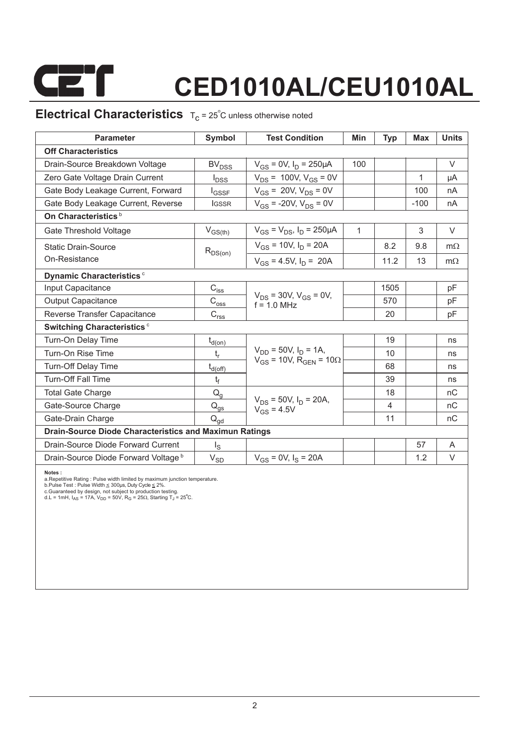

### **Electrical Characteristics**  $T_c = 25^\circ$ C unless otherwise noted

| <b>Parameter</b>                                                                                                                                                                                                                                                                                                                              | Symbol                      | <b>Test Condition</b>                           | Min          | Typ  | Max    | <b>Units</b> |  |  |  |
|-----------------------------------------------------------------------------------------------------------------------------------------------------------------------------------------------------------------------------------------------------------------------------------------------------------------------------------------------|-----------------------------|-------------------------------------------------|--------------|------|--------|--------------|--|--|--|
| <b>Off Characteristics</b>                                                                                                                                                                                                                                                                                                                    |                             |                                                 |              |      |        |              |  |  |  |
| Drain-Source Breakdown Voltage                                                                                                                                                                                                                                                                                                                | <b>BV<sub>DSS</sub></b>     | $V_{GS} = 0V$ , $I_D = 250 \mu A$               | 100          |      |        | $\vee$       |  |  |  |
| Zero Gate Voltage Drain Current                                                                                                                                                                                                                                                                                                               | $I_{\text{DSS}}$            | $V_{DS}$ = 100V, $V_{GS}$ = 0V                  |              |      | 1      | μA           |  |  |  |
| Gate Body Leakage Current, Forward                                                                                                                                                                                                                                                                                                            | <b>I</b> GSSF               | $V_{GS}$ = 20V, $V_{DS}$ = 0V                   |              |      | 100    | nA           |  |  |  |
| Gate Body Leakage Current, Reverse                                                                                                                                                                                                                                                                                                            | <b>IGSSR</b>                | $V_{GS}$ = -20V, $V_{DS}$ = 0V                  |              |      | $-100$ | nA           |  |  |  |
| On Characteristics <sup>b</sup>                                                                                                                                                                                                                                                                                                               |                             |                                                 |              |      |        |              |  |  |  |
| Gate Threshold Voltage                                                                                                                                                                                                                                                                                                                        | $V_{GS(th)}$                | $V_{GS} = V_{DS}$ , $I_D = 250 \mu A$           | $\mathbf{1}$ |      | 3      | V            |  |  |  |
| <b>Static Drain-Source</b>                                                                                                                                                                                                                                                                                                                    | $R_{DS(on)}$                | $V_{GS}$ = 10V, $I_D$ = 20A                     |              | 8.2  | 9.8    | $m\Omega$    |  |  |  |
| On-Resistance                                                                                                                                                                                                                                                                                                                                 |                             | $V_{GS}$ = 4.5V, $I_D$ = 20A                    |              | 11.2 | 13     | $m\Omega$    |  |  |  |
| Dynamic Characteristics <sup>c</sup>                                                                                                                                                                                                                                                                                                          |                             |                                                 |              |      |        |              |  |  |  |
| Input Capacitance                                                                                                                                                                                                                                                                                                                             | $C_{\text{iss}}$            |                                                 |              | 1505 |        | pF           |  |  |  |
| <b>Output Capacitance</b>                                                                                                                                                                                                                                                                                                                     | $\text{C}_{\text{oss}}$     | $V_{DS}$ = 30V, $V_{GS}$ = 0V,<br>$f = 10 MHz$  |              | 570  |        | pF           |  |  |  |
| Reverse Transfer Capacitance                                                                                                                                                                                                                                                                                                                  | $\mathsf{C}_{\mathsf{rss}}$ |                                                 |              | 20   |        | pF           |  |  |  |
| Switching Characteristics <sup>c</sup>                                                                                                                                                                                                                                                                                                        |                             |                                                 |              |      |        |              |  |  |  |
| Turn-On Delay Time                                                                                                                                                                                                                                                                                                                            | $t_{d(on)}$                 |                                                 |              | 19   |        | ns           |  |  |  |
| Turn-On Rise Time                                                                                                                                                                                                                                                                                                                             | t,                          | $V_{DD}$ = 50V, $I_D$ = 1A,                     |              | 10   |        | ns           |  |  |  |
| <b>Turn-Off Delay Time</b>                                                                                                                                                                                                                                                                                                                    | $t_{d(off)}$                | $V_{GS}$ = 10V, R <sub>GFN</sub> = 10 $\Omega$  |              | 68   |        | ns           |  |  |  |
| <b>Turn-Off Fall Time</b>                                                                                                                                                                                                                                                                                                                     | ţ                           |                                                 |              | 39   |        | ns           |  |  |  |
| <b>Total Gate Charge</b>                                                                                                                                                                                                                                                                                                                      | $\mathsf{Q}_{\mathsf{q}}$   |                                                 |              | 18   |        | nC           |  |  |  |
| Gate-Source Charge                                                                                                                                                                                                                                                                                                                            | $\mathsf{Q}_{\mathsf{gs}}$  | $V_{DS}$ = 50V, $I_D$ = 20A,<br>$V_{GS} = 4.5V$ |              | 4    |        | nC           |  |  |  |
| Gate-Drain Charge                                                                                                                                                                                                                                                                                                                             | $\mathsf{Q}_{\mathsf{gd}}$  |                                                 |              | 11   |        | nC           |  |  |  |
| <b>Drain-Source Diode Characteristics and Maximun Ratings</b>                                                                                                                                                                                                                                                                                 |                             |                                                 |              |      |        |              |  |  |  |
| Drain-Source Diode Forward Current                                                                                                                                                                                                                                                                                                            | $I_{\rm S}$                 |                                                 |              |      | 57     | A            |  |  |  |
| Drain-Source Diode Forward Voltage b                                                                                                                                                                                                                                                                                                          | $V_{SD}$                    | $V_{GS}$ = 0V, $I_S$ = 20A                      |              |      | 1.2    | $\vee$       |  |  |  |
| Notes:<br>a. Repetitive Rating: Pulse width limited by maximum junction temperature.<br>b.Pulse Test: Pulse Width $\leq$ 300us, Duty Cycle $\leq$ 2%.<br>c.Guaranteed by design, not subject to production testing.<br>d.L = 1mH, $I_{AS}$ = 17A, $V_{DD}$ = 50V, R <sub>G</sub> = 25 $\Omega$ , Starting T <sub>J</sub> = 25 <sup>°</sup> C. |                             |                                                 |              |      |        |              |  |  |  |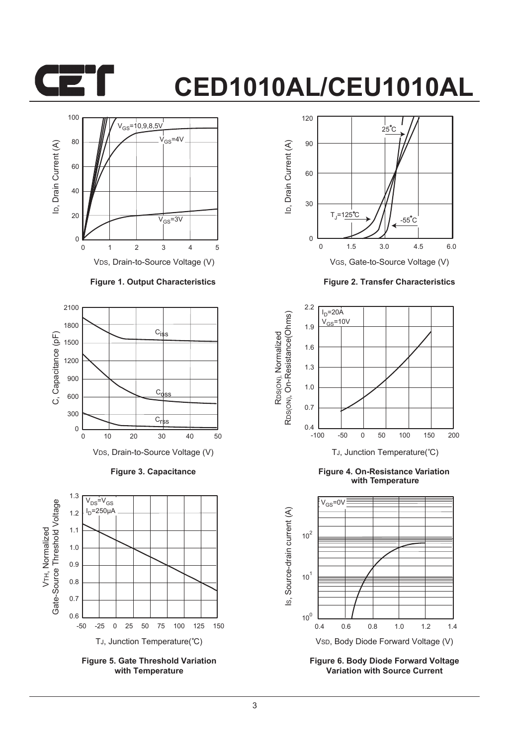



#### **Figure 1. Output Characteristics**



**Figure 3. Capacitance**



**Figure 5. Gate Threshold Variation with Temperature**



**Figure 2. Transfer Characteristics**



**Figure 4. On-Resistance Variation with Temperature**



**Figure 6. Body Diode Forward Voltage Variation with Source Current**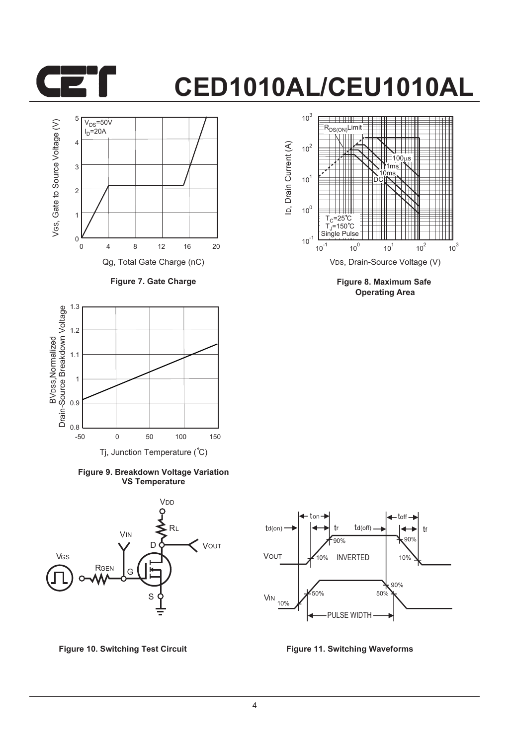



**Figure 7. Gate Charge**



**Figure 9. Breakdown Voltage Variation VS Temperature**





**Figure 8. Maximum Safe Operating Area**



**Figure 10. Switching Test Circuit Figure 11. Switching Waveforms**